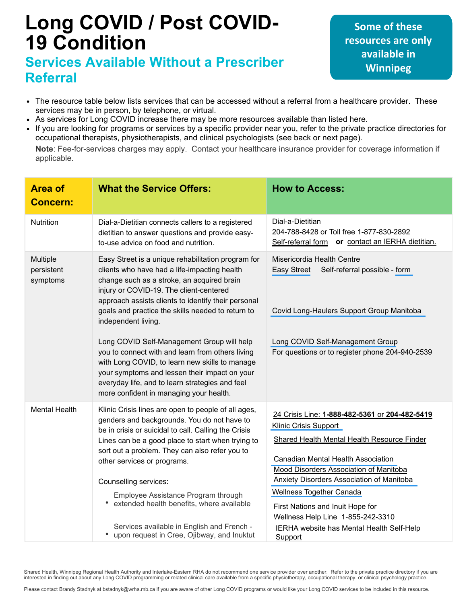# **Long COVID / Post COVID-19 Condition**

## **Services Available Without a Prescriber Referral**

**Some of these resources are only available in Winnipeg**

- The resource table below lists services that can be accessed without a referral from a healthcare provider. These services may be in person, by telephone, or virtual.
- As services for Long COVID increase there may be more resources available than listed here.
- If you are looking for programs or services by a specific provider near you, refer to the private practice directories for  $\bullet$ occupational therapists, physiotherapists, and clinical psychologists (see back or next page).

**Note**: Fee-for-services charges may apply. Contact your healthcare insurance provider for coverage information if applicable.

| <b>Area of</b><br><b>Concern:</b>  | <b>What the Service Offers:</b>                                                                                                                                                                                                                                                                                                                                                                                                                                                                                                                                                        | <b>How to Access:</b>                                                                                                                                                                                                                                                                                                                                                  |
|------------------------------------|----------------------------------------------------------------------------------------------------------------------------------------------------------------------------------------------------------------------------------------------------------------------------------------------------------------------------------------------------------------------------------------------------------------------------------------------------------------------------------------------------------------------------------------------------------------------------------------|------------------------------------------------------------------------------------------------------------------------------------------------------------------------------------------------------------------------------------------------------------------------------------------------------------------------------------------------------------------------|
| <b>Nutrition</b>                   | Dial-a-Dietitian connects callers to a registered<br>dietitian to answer questions and provide easy-<br>to-use advice on food and nutrition.                                                                                                                                                                                                                                                                                                                                                                                                                                           | Dial-a-Dietitian<br>204-788-8428 or Toll free 1-877-830-2892<br>Self-referral form or contact an IERHA dietitian.                                                                                                                                                                                                                                                      |
| Multiple<br>persistent<br>symptoms | Easy Street is a unique rehabilitation program for<br>clients who have had a life-impacting health<br>change such as a stroke, an acquired brain<br>injury or COVID-19. The client-centered<br>approach assists clients to identify their personal<br>goals and practice the skills needed to return to<br>independent living.<br>Long COVID Self-Management Group will help<br>you to connect with and learn from others living<br>with Long COVID, to learn new skills to manage<br>your symptoms and lessen their impact on your<br>everyday life, and to learn strategies and feel | Misericordia Health Centre<br>Easy Street<br>Self-referral possible - form<br>Covid Long-Haulers Support Group Manitoba<br>Long COVID Self-Management Group<br>For questions or to register phone 204-940-2539                                                                                                                                                         |
|                                    | more confident in managing your health.                                                                                                                                                                                                                                                                                                                                                                                                                                                                                                                                                |                                                                                                                                                                                                                                                                                                                                                                        |
| <b>Mental Health</b>               | Klinic Crisis lines are open to people of all ages,<br>genders and backgrounds. You do not have to<br>be in crisis or suicidal to call. Calling the Crisis<br>Lines can be a good place to start when trying to<br>sort out a problem. They can also refer you to<br>other services or programs.<br>Counselling services:<br>Employee Assistance Program through<br>extended health benefits, where available                                                                                                                                                                          | 24 Crisis Line: 1-888-482-5361 or 204-482-5419<br><b>Klinic Crisis Support</b><br>Shared Health Mental Health Resource Finder<br>Canadian Mental Health Association<br>Mood Disorders Association of Manitoba<br>Anxiety Disorders Association of Manitoba<br><b>Wellness Together Canada</b><br>First Nations and Inuit Hope for<br>Wellness Help Line 1-855-242-3310 |
|                                    | Services available in English and French -<br>• upon request in Cree, Ojibway, and Inuktut                                                                                                                                                                                                                                                                                                                                                                                                                                                                                             | IERHA website has Mental Health Self-Help<br>Support                                                                                                                                                                                                                                                                                                                   |

Shared Health, Winnipeg Regional Health Authority and Interlake-Eastern RHA do not recommend one service provider over another. Refer to the private practice directory if you are interested in finding out about any Long COVID programming or related clinical care available from a specific physiotherapy, occupational therapy, or clinical psychology practice.